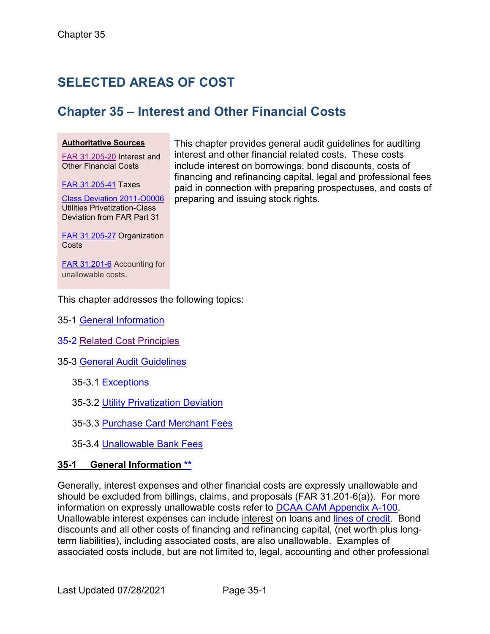# **SELECTED AREAS OF COST**

## **Chapter 35 – Interest and Other Financial Costs**

#### **Authoritative Sources**

[FAR 31.205-20](http://www.ecfr.gov/cgi-bin/text-idx?SID=80610e03faaaeeba3bd9ce197f7e161a&node=se48.1.31_1205_620&rgn=div8) Interest and Other Financial Costs

[FAR 31.205-41](http://www.ecfr.gov/cgi-bin/text-idx?SID=2fa9754b80fc4a287b7071ee37ccf485&node=se48.1.31_1205_641&rgn=div8) Taxes

[Class Deviation 2011-O0006](https://www.acq.osd.mil/dpap/policy/policyvault/USA001350-11-DPAP.pdf) Utilities Privatization-Class Deviation from FAR Part 31

This chapter provides general audit guidelines for auditing interest and other financial related costs. These costs include interest on borrowings, bond discounts, costs of financing and refinancing capital, legal and professional fees paid in connection with preparing prospectuses, and costs of preparing and issuing stock rights.

[FAR 31.205-27](http://www.ecfr.gov/cgi-bin/text-idx?SID=80610e03faaaeeba3bd9ce197f7e161a&node=se48.1.31_1205_627&rgn=div8) Organization **Costs** 

[FAR 31.201-6](https://www.ecfr.gov/cgi-bin/text-idx?SID=4a252c5b23ca1cd26ac61d2f409fb99d&mc=true&node=se48.1.31_1201_66&rgn=div8) Accounting for unallowable costs.

This chapter addresses the following topics:

- <span id="page-0-1"></span>35-1 [General Information](#page-0-0)
- <span id="page-0-2"></span>35-2 [Related Cost Principles](#page-1-0)
- <span id="page-0-5"></span><span id="page-0-4"></span><span id="page-0-3"></span>35-3 [General Audit Guidelines](#page-1-1)
	- 35-3.1 Exceptions
	- 35-3.2 [Utility Privatization Deviation](#page-1-2)
	- 35-3.3 [Purchase Card Merchant Fees](#page-2-0)
	- 35-3.4 [Unallowable Bank Fees](#page-2-1)

#### <span id="page-0-7"></span><span id="page-0-6"></span><span id="page-0-0"></span>**35-1 General Information [\\*\\*](#page-0-1)**

<span id="page-0-8"></span>Generally, interest expenses and other financial costs are expressly unallowable and should be excluded from billings, claims, and proposals (FAR 31.201-6(a)). For more information on expressly unallowable costs refer to [DCAA CAM Appendix A-100.](https://www.dcaa.mil/Portals/88/Documents/Guidance/CAM/Chapter%2095%20APPENDIX%20A%20Contract%20Cost%20Principles%20and%20Procedures.pdf) Unallowable interest expenses can include interest on loans and [lines of credit.](#page-2-2) Bond discounts and all other costs of financing and refinancing capital, (net worth plus longterm liabilities), including associated costs, are also unallowable. Examples of associated costs include, but are not limited to, legal, accounting and other professional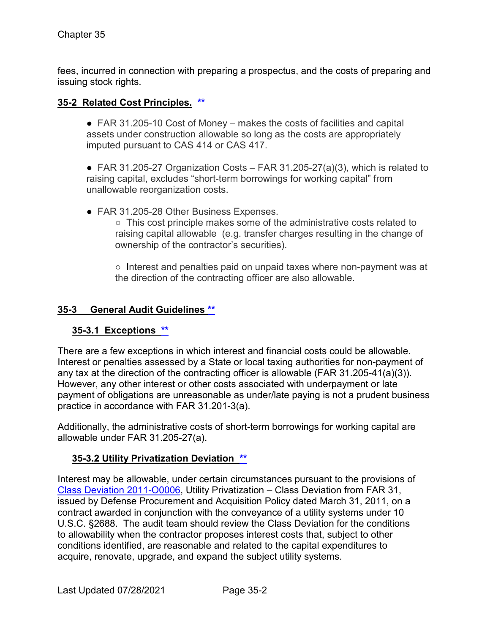fees, incurred in connection with preparing a prospectus, and the costs of preparing and issuing stock rights.

#### <span id="page-1-0"></span>**35-2 Related Cost Principles. [\\*\\*](#page-0-2)**

● FAR 31.205-10 Cost of Money – makes the costs of facilities and capital assets under construction allowable so long as the costs are appropriately imputed pursuant to CAS 414 or CAS 417.

• FAR 31.205-27 Organization Costs – FAR 31.205-27(a)(3), which is related to raising capital, excludes "short-term borrowings for working capital" from unallowable reorganization costs.

- FAR 31.205-28 Other Business Expenses.
	- This cost principle makes some of the administrative costs related to raising capital allowable (e.g. transfer charges resulting in the change of ownership of the contractor's securities).

○ Interest and penalties paid on unpaid taxes where non-payment was at the direction of the contracting officer are also allowable.

#### <span id="page-1-1"></span>**35-3 General Audit Guidelines [\\*\\*](#page-0-3)**

#### **35-3.1 Exceptions [\\*\\*](#page-0-4)**

There are a few exceptions in which interest and financial costs could be allowable. Interest or penalties assessed by a State or local taxing authorities for non-payment of any tax at the direction of the contracting officer is allowable (FAR  $31.205-41(a)(3)$ ). However, any other interest or other costs associated with underpayment or late payment of obligations are unreasonable as under/late paying is not a prudent business practice in accordance with FAR 31.201-3(a).

Additionally, the administrative costs of short-term borrowings for working capital are allowable under FAR 31.205-27(a).

### <span id="page-1-2"></span>**35-3.2 Utility Privatization Deviation [\\*\\*](#page-0-5)**

Interest may be allowable, under certain circumstances pursuant to the provisions of [Class Deviation 2011-O0006,](https://www.acq.osd.mil/dpap/policy/policyvault/USA001350-11-DPAP.pdf) Utility Privatization – Class Deviation from FAR 31, issued by Defense Procurement and Acquisition Policy dated March 31, 2011, on a contract awarded in conjunction with the conveyance of a utility systems under 10 U.S.C. §2688. The audit team should review the Class Deviation for the conditions to allowability when the contractor proposes interest costs that, subject to other conditions identified, are reasonable and related to the capital expenditures to acquire, renovate, upgrade, and expand the subject utility systems.